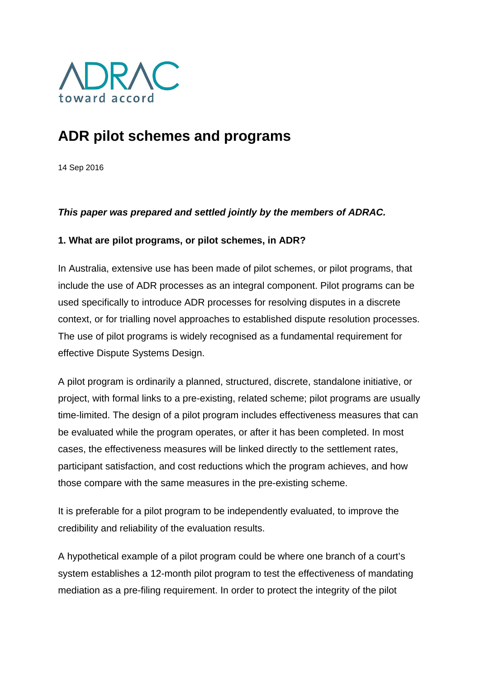

# **ADR pilot schemes and programs**

14 Sep 2016

### *This paper was prepared and settled jointly by the members of ADRAC.*

### **1. What are pilot programs, or pilot schemes, in ADR?**

In Australia, extensive use has been made of pilot schemes, or pilot programs, that include the use of ADR processes as an integral component. Pilot programs can be used specifically to introduce ADR processes for resolving disputes in a discrete context, or for trialling novel approaches to established dispute resolution processes. The use of pilot programs is widely recognised as a fundamental requirement for effective Dispute Systems Design.

A pilot program is ordinarily a planned, structured, discrete, standalone initiative, or project, with formal links to a pre-existing, related scheme; pilot programs are usually time-limited. The design of a pilot program includes effectiveness measures that can be evaluated while the program operates, or after it has been completed. In most cases, the effectiveness measures will be linked directly to the settlement rates, participant satisfaction, and cost reductions which the program achieves, and how those compare with the same measures in the pre-existing scheme.

It is preferable for a pilot program to be independently evaluated, to improve the credibility and reliability of the evaluation results.

A hypothetical example of a pilot program could be where one branch of a court's system establishes a 12-month pilot program to test the effectiveness of mandating mediation as a pre-filing requirement. In order to protect the integrity of the pilot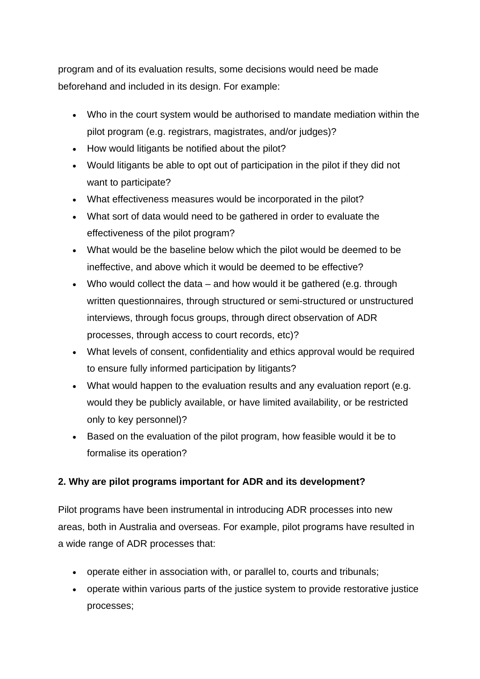program and of its evaluation results, some decisions would need be made beforehand and included in its design. For example:

- Who in the court system would be authorised to mandate mediation within the pilot program (e.g. registrars, magistrates, and/or judges)?
- How would litigants be notified about the pilot?
- Would litigants be able to opt out of participation in the pilot if they did not want to participate?
- What effectiveness measures would be incorporated in the pilot?
- What sort of data would need to be gathered in order to evaluate the effectiveness of the pilot program?
- What would be the baseline below which the pilot would be deemed to be ineffective, and above which it would be deemed to be effective?
- Who would collect the data  $-$  and how would it be gathered (e.g. through written questionnaires, through structured or semi-structured or unstructured interviews, through focus groups, through direct observation of ADR processes, through access to court records, etc)?
- What levels of consent, confidentiality and ethics approval would be required to ensure fully informed participation by litigants?
- What would happen to the evaluation results and any evaluation report (e.g. would they be publicly available, or have limited availability, or be restricted only to key personnel)?
- Based on the evaluation of the pilot program, how feasible would it be to formalise its operation?

# **2. Why are pilot programs important for ADR and its development?**

Pilot programs have been instrumental in introducing ADR processes into new areas, both in Australia and overseas. For example, pilot programs have resulted in a wide range of ADR processes that:

- operate either in association with, or parallel to, courts and tribunals;
- operate within various parts of the justice system to provide restorative justice processes;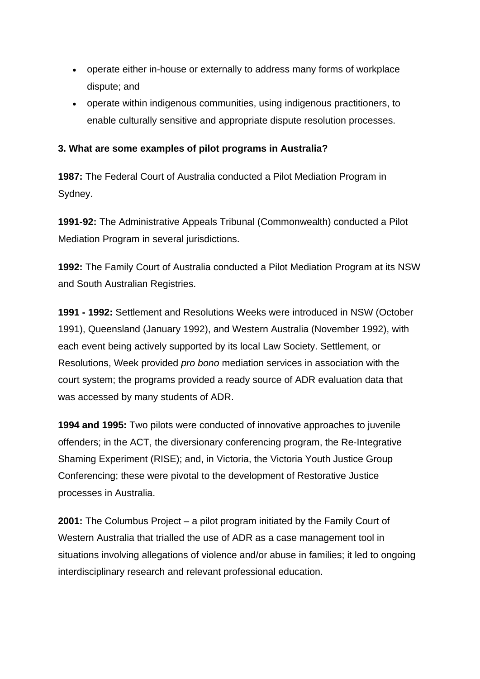- operate either in-house or externally to address many forms of workplace dispute; and
- operate within indigenous communities, using indigenous practitioners, to enable culturally sensitive and appropriate dispute resolution processes.

## **3. What are some examples of pilot programs in Australia?**

**1987:** The Federal Court of Australia conducted a Pilot Mediation Program in Sydney.

**1991-92:** The Administrative Appeals Tribunal (Commonwealth) conducted a Pilot Mediation Program in several jurisdictions.

**1992:** The Family Court of Australia conducted a Pilot Mediation Program at its NSW and South Australian Registries.

**1991 - 1992:** Settlement and Resolutions Weeks were introduced in NSW (October 1991), Queensland (January 1992), and Western Australia (November 1992), with each event being actively supported by its local Law Society. Settlement, or Resolutions, Week provided *pro bono* mediation services in association with the court system; the programs provided a ready source of ADR evaluation data that was accessed by many students of ADR.

**1994 and 1995:** Two pilots were conducted of innovative approaches to juvenile offenders; in the ACT, the diversionary conferencing program, the Re-Integrative Shaming Experiment (RISE); and, in Victoria, the Victoria Youth Justice Group Conferencing; these were pivotal to the development of Restorative Justice processes in Australia.

**2001:** The Columbus Project – a pilot program initiated by the Family Court of Western Australia that trialled the use of ADR as a case management tool in situations involving allegations of violence and/or abuse in families; it led to ongoing interdisciplinary research and relevant professional education.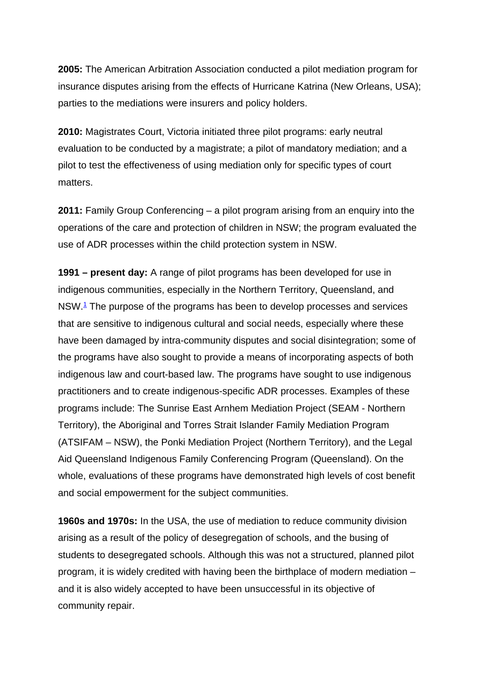**2005:** The American Arbitration Association conducted a pilot mediation program for insurance disputes arising from the effects of Hurricane Katrina (New Orleans, USA); parties to the mediations were insurers and policy holders.

**2010:** Magistrates Court, Victoria initiated three pilot programs: early neutral evaluation to be conducted by a magistrate; a pilot of mandatory mediation; and a pilot to test the effectiveness of using mediation only for specific types of court matters.

**2011:** Family Group Conferencing – a pilot program arising from an enquiry into the operations of the care and protection of children in NSW; the program evaluated the use of ADR processes within the child protection system in NSW.

**1991 – present day:** A range of pilot programs has been developed for use in indigenous communities, especially in the Northern Territory, Queensland, and NSW.1 The purpose of the programs has been to develop processes and services that are sensitive to indigenous cultural and social needs, especially where these have been damaged by intra-community disputes and social disintegration; some of the programs have also sought to provide a means of incorporating aspects of both indigenous law and court-based law. The programs have sought to use indigenous practitioners and to create indigenous-specific ADR processes. Examples of these programs include: The Sunrise East Arnhem Mediation Project (SEAM - Northern Territory), the Aboriginal and Torres Strait Islander Family Mediation Program (ATSIFAM – NSW), the Ponki Mediation Project (Northern Territory), and the Legal Aid Queensland Indigenous Family Conferencing Program (Queensland). On the whole, evaluations of these programs have demonstrated high levels of cost benefit and social empowerment for the subject communities.

**1960s and 1970s:** In the USA, the use of mediation to reduce community division arising as a result of the policy of desegregation of schools, and the busing of students to desegregated schools. Although this was not a structured, planned pilot program, it is widely credited with having been the birthplace of modern mediation – and it is also widely accepted to have been unsuccessful in its objective of community repair.